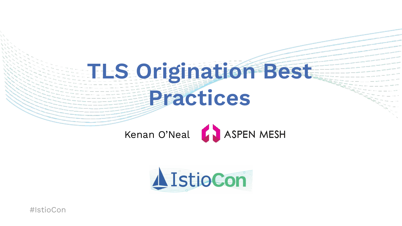## **TLS Origination Best Practices**



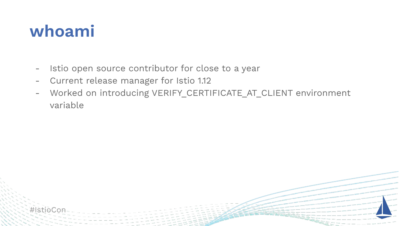#### **whoami**

- Istio open source contributor for close to a year
- Current release manager for Istio 1.12
- Worked on introducing VERIFY\_CERTIFICATE\_AT\_CLIENT environment variable

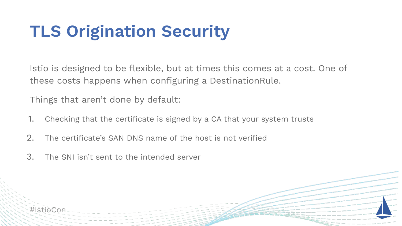### **TLS Origination Security**

Istio is designed to be flexible, but at times this comes at a cost. One of these costs happens when configuring a DestinationRule.

Things that aren't done by default:

- 1. Checking that the certificate is signed by a CA that your system trusts
- 2. The certificate's SAN DNS name of the host is not verified
- 3. The SNI isn't sent to the intended server

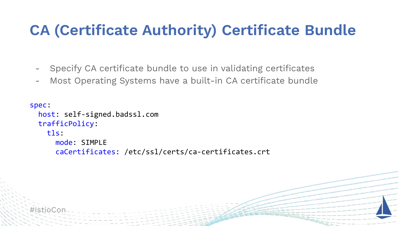#### **CA (Certificate Authority) Certificate Bundle**

- Specify CA certificate bundle to use in validating certificates

Most Operating Systems have a built-in CA certificate bundle

```
spec:
   host: self-signed.badssl.com
   trafficPolicy:
     tls:
       mode: SIMPLE
       caCertificates: /etc/ssl/certs/ca-certificates.crt
```
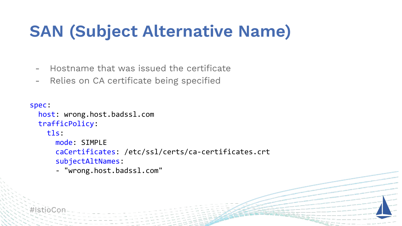#### **SAN (Subject Alternative Name)**

- Hostname that was issued the certificate
- Relies on CA certificate being specified

```
spec:
   host: wrong.host.badssl.com
   trafficPolicy:
     tls:
       mode: SIMPLE
       caCertificates: /etc/ssl/certs/ca-certificates.crt
       subjectAltNames:
       - "wrong.host.badssl.com"
```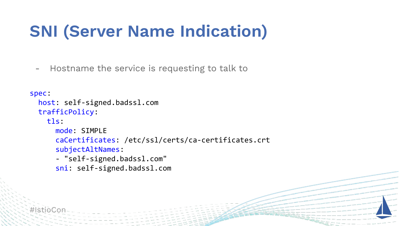#### **SNI (Server Name Indication)**

- Hostname the service is requesting to talk to

```
spec:
   host: self-signed.badssl.com
   trafficPolicy:
     tls:
       mode: SIMPLE
       caCertificates: /etc/ssl/certs/ca-certificates.crt
       subjectAltNames:
       - "self-signed.badssl.com"
       sni: self-signed.badssl.com
```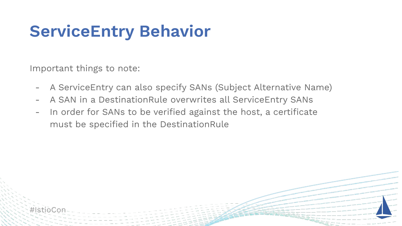#### **ServiceEntry Behavior**

Important things to note:

- A ServiceEntry can also specify SANs (Subject Alternative Name)
- A SAN in a DestinationRule overwrites all ServiceEntry SANs
- In order for SANs to be verified against the host, a certificate must be specified in the DestinationRule

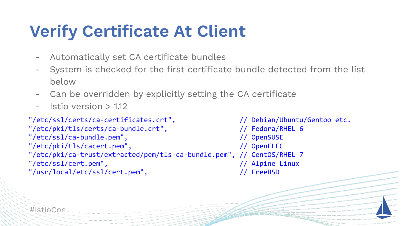#### **Verify Certificate At Client**

- Automatically set CA certificate bundles
- System is checked for the first certificate bundle detected from the list below
- Can be overridden by explicitly setting the CA certificate
- $-$  Istio version  $> 1.12$

```
"/etc/ssl/certs/ca-certificates.crt", // Debian/Ubuntu/Gentoo etc.
"/etc/pki/tls/certs/ca-bundle.crt", // Fedora/RHEL 6
"/etc/ssl/ca-bundle.pem", // OpenSUSE
"/etc/pki/tls/cacert.pem", // OpenELEC
"/etc/pki/ca-trust/extracted/pem/tls-ca-bundle.pem", // CentOS/RHEL 7
"/etc/ssl/cert.pem", // Alpine Linux
"/usr/local/etc/ssl/cert.pem", // FreeBSD
```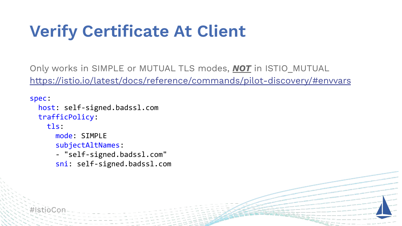### **Verify Certificate At Client**

Only works in SIMPLE or MUTUAL TLS modes, *NOT* in ISTIO\_MUTUAL <https://istio.io/latest/docs/reference/commands/pilot-discovery/#envvars>

```
spec:
   host: self-signed.badssl.com
   trafficPolicy:
     tls:
       mode: SIMPLE
       subjectAltNames:
       - "self-signed.badssl.com"
       sni: self-signed.badssl.com
```
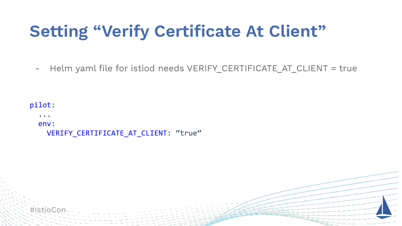#### **Setting "Verify Certificate At Client"**

- Helm yaml file for istiod needs VERIFY CERTIFICATE AT CLIENT = true

```
pilot:
   ...
   env:
    VERIFY_CERTIFICATE_AT_CLIENT: "true"
```
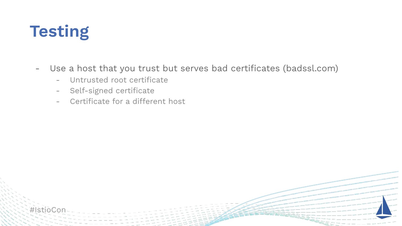#### **Testing**

- Use a host that you trust but serves bad certificates (badssl.com)
	- Untrusted root certificate
	- Self-signed certificate
	- Certificate for a different host

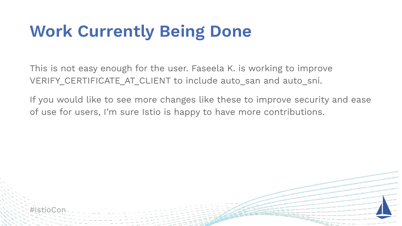#### **Work Currently Being Done**

#IstioCon

This is not easy enough for the user. Faseela K. is working to improve VERIFY CERTIFICATE AT CLIENT to include auto san and auto sni.

If you would like to see more changes like these to improve security and ease of use for users, I'm sure Istio is happy to have more contributions.